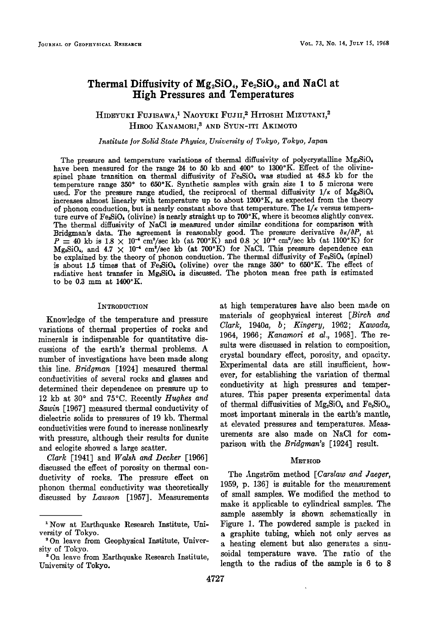# **Thermal Diffusivity of Mg•,SiO4, Fe•SiO4, and NaC1 at High Pressures and Temperatures**

# HIDEYUKI FUJISAWA,<sup>1</sup> NAOYUKI FUJII,<sup>2</sup> HITOSHI MIZUTANI,<sup>2</sup> HIROO KANAMORI,<sup>3</sup> AND SYUN-ITI AKIMOTO

## **Institute for Solid State Physics, University of Tokyo, Tokyo, Japan**

The pressure and temperature variations of thermal diffusivity of polycrystalline Mg<sub>2</sub>SiO<sub>4</sub> have been measured for the range 24 to 50 kb and 400° to 1300°K. Effect of the olivinespinel phase transition on thermal diffusivity of Fe<sub>2</sub>SiO<sub>4</sub> was studied at 48.5 kb for the **temperature range 350 ø to 650øK. Synthetic samples with grain size 1 to 5 microns were**  used. For the pressure range studied, the reciprocal of thermal diffusivity  $1/\kappa$  of Mg<sub>2</sub>SiO<sub>4</sub> increases almost linearly with temperature up to about 1200°K, as expected from the theory of phonon conduction, but is nearly constant above that temperature. The  $1/\kappa$  versus temperature curve of Fe<sub>2</sub>SiO<sub><sup>6</sub></sup> (olivine) is nearly straight up to 700°K, where it becomes slightly convex.</sub> **The thermal diffusivity of NaC1 is measured under similar conditions for comparison with**  Bridgman's data. The agreement is reasonably good. The pressure derivative  $\partial \kappa / \partial P$ , at  $P = 40$  kb is 1.8  $\times$  10<sup>-•</sup> cm<sup>2</sup>/sec kb (at 700<sup>o</sup>K) and 0.8  $\times$  10<sup>-•</sup> cm<sup>2</sup>/sec kb (at 1100<sup>o</sup>K) for  $Mg_2\text{SiO}_4$ , and  $4.7 \times 10^{-4}$  cm<sup>2</sup>/sec kb (at 700<sup>o</sup>K) for NaCl. This pressure dependence can be explained by, the theory of phonon conduction. The thermal diffusivity of Fe-SiO<sub>•</sub> (spinel) is about 1.5 times that of Fe-SiO. (olivine) over the range 350° to 650°K. The effect of radiative heat transfer in Mg<sub>2</sub>SiO<sub>4</sub> is discussed. The photon mean free path is estimated to be 0.3 mm at 1400°K.

### **INTRODUCTION**

**Knowledge of the temperature and pressure variations of thermal properties of rocks and minerals is indispensable for quantitative discussions of the earth's thermal problems. A number of investigations have been made along this line. Bridgman [1924] measured thermal conductivities of several rocks and glasses and determined their dependence on pressure up to**  12 kb at 30° and 75°C. Recently *Hughes and* **Sawin [1967] measured thermal conductivity of dielectric solids to pressures of 19 kb. Thermal conductivities were found to increase nonlinearly with pressure, although their results for dunire and eclogite showed a large scatter.** 

**Clark [1941] and Walsh and Decker [1966] discussed the effect of porosity on thermal conductivity of rocks. The pressure effect on phonon thermal conductivity was theoretically discussed by Lawson [1957]. Measurements**  **at high temperatures have also been made on materials of geophysical interest [Birch and Clark, 1940a, b; Kingery, 1962; Kawada, 1964, 1966; Kanamori et al., 1968]. The results were discussed in relation to composition, crystal boundary effect, porosity, and opacity. Experimental data are still insufficient, however, for establishing the variation of thermal conductivity at high pressures and temperatures. This paper presents experimental data**  of thermal diffusivities of  $Mg_2SiO_4$  and  $Fe_2SiO_4$ , **most important minerals in the earth's mantle, at elevated pressures and temperatures. Measurements are also made on NaC1 for comparison with the Bridgman's [1924] result.** 

## **METYIOD**

The Angström method [Carslaw and Jaeger, **1959, p. 136] is suitable for the measurement of small samples. We modified the method to make it applicable to cylindrical samples. The sample assembly is shown schematically in Figure 1. The powdered sample is packed in • graphite tubing, which not only serves as a heating element but also generates a sinusoidal temperature wave. The ratio of the length to the radius of the sample is 6 to 8** 

<sup>&</sup>lt;sup>1</sup> Now at Earthquake Research Institute, Uni**versity of Tokyo.** 

**e On leave from Geophysical Institute, University of Tokyo.** 

**s On leave from Earthquake Research Institute, University of Tokyo.**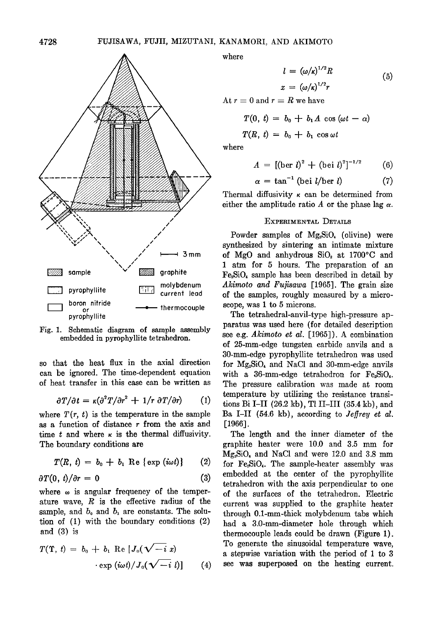

**Fig. 1. Schematic diagram of sample assembly embedded in pyrophyllite tetrahedron.** 

**so that the heat flux in the axial direction can be ignored. The time-dependent equation of heat transfer in this case can be written as** 

$$
\partial T/\partial t = \kappa (\partial^2 T/\partial r^2 + 1/r \ \partial T/\partial r) \qquad (1)
$$

where  $T(r, t)$  is the temperature in the sample as a function of distance r from the axis and time  $t$  and where  $\kappa$  is the thermal diffusivity. **The boundary conditions are** 

$$
T(R, t) = b_0 + b_1 \operatorname{Re} \{ \exp (i\omega t) \} \qquad (2)
$$

$$
\partial T(0, t)/\partial r = 0 \tag{3}
$$

where  $\omega$  is angular frequency of the temper**ature wave, R is the effective radius of the**  sample, and  $b_0$  and  $b_1$  are constants. The solu**tion of (1) with the boundary conditions (2) and (3) is** 

$$
T(\Upsilon, t) = b_0 + b_1 \operatorname{Re} [J_0(\sqrt{-i} x) \cdot \exp(i\omega t)/J_0(\sqrt{-i} t)] \qquad (4)
$$

**where** 

$$
l = (\omega/\kappa)^{1/2}R
$$
  

$$
x = (\omega/\kappa)^{1/2}r
$$
 (5)

At  $r = 0$  and  $r = R$  we have

$$
T(0, t) = b_0 + b_1 A \cos(\omega t - \alpha)
$$
  

$$
T(R, t) = b_0 + b_1 \cos \omega t
$$

**where** 

$$
A = [(\text{ber } l)^2 + (\text{bei } l)^2]^{-1/2} \qquad (6)
$$

$$
\alpha = \tan^{-1} (\text{bei } l/\text{ber } l)
$$
 (7)

Thermal diffusivity  $\kappa$  can be determined from either the amplitude ratio  $A$  or the phase lag  $\alpha$ .

## **EXPERIMENTAL DETAILS**

Powder samples of Mg<sub>2</sub>SiO<sub>4</sub> (olivine) were **synthesized by sintering an intimate mixture**  of MgO and anhydrous SiO<sub>2</sub> at 1700°C and 1 atm for 5 hours. The preparation of an **Fe, SiO• sample has been described in detail by Akimoto and Fufisawa [1965]. The grain size of the samples, roughly measured by a microscope, was 1 to 5 microns.** 

**The tetrahedral-anvil-type high-pressure apparatus was used here (for detailed description see e.g. Akimoto et al. [1965]). A combination of 25-mm-edge tungsten carbide anvils and a 30-ram-edge pyrophyllite tetrahedron was used**  for Mg<sub>2</sub>SiO<sub>4</sub> and NaCl and 30-mm-edge anvils with a 36-mm-edge tetrahedron for Fe<sub>2</sub>SiO<sub>4</sub>. **The pressure calibration was made at room temperature by utilizing the resistance transitions Bi I-II (26.2 kb), TI II-III (35.4 kb), and**  Ba I-II (54.6 kb), according to *Jeffrey et al.* **[1966].** 

**The length and the inner diameter of the graphite heater were 10.0 and 3.5 mm for Mg•SiO• and NaC1 and were 12.0 and 3.8 mm**  for Fe<sub>sio</sub>. The sample-heater assembly was **embedded at the center of the pyrophyllite tetrahedron with the axis perpendicular to one of the surfaces of the tetrahedron. Electric current was supplied to the graphite heater through 0.1-mm-thick molybdenum tabs which had a 3.0-mm-diameter hole through which thermocouple leads could be drawn (Figure 1). To generate the sinusoidal temperature wave, a stepwise variation with the period of I to 3 see was superposed on the heating current.**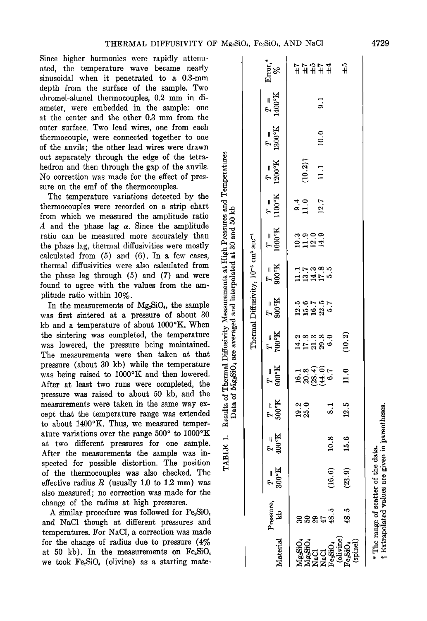**Since higher harmonics were rapidly attenuated, the temperature wave became nearly sinusoidal when it penetrated to a 0.3-mm depth from the surface of the sample. Two chromel-alumel thermocouples, 0.2 mm in diameter, were embedded in the sample' one at the center and the other 0.3 mm from the outer surface. Two lead wires, one from each thermocouple, were connected together to one of the anvils; the other lead wires were drawn out separately through the edge of the tetrahedron and then through the gap of the anvils. No correction was made for the effect of pressure on the emf of the thermocouples.** 

**The temperature variations detected by the from which we measured the amplitude ratio**  A and the phase lag  $\alpha$ . Since the amplitude ratio can be measured more accurately than **the phase lag, thermal diffusivities were mostly calculated from (5) and (6). In a few cases, thermal diffusivities were also calculated from the phase lag through (5) and (7) and were plitude ratio within 10%.** 

out separately through the edge of the tetra-<br>hedron and then through the gap of the anvils.<br>No correction was made for the effect of pressure on the emf of the thermocouples. The temperature variations detected by the th In the measurements of Mg<sub>2</sub>SiO<sub>4</sub>, the sample **was first sintered at a pressure of about 30**  kb and a temperature of about 1000°K. When the sintering was completed, the temperature  $\mathbf{w}$  was lowered, the pressure being maintained. **The measurements were then taken at that pressure (about 30 kb) while the temperature**  was being raised to 1000°K and then lowered. **After at least two runs were completed, the pressure was raised to about 50 kb, and the measurements were taken in the same way ex**cept that the temperature range was extended to about 1400°K. Thus, we measured temperature variations over the range 500° to 1000°K ature variations over the range 500° to 1000°K<br>at two different pressures for one sample.<br>After the measurements the sample was in-<br>spected for possible distortion. The position **After the measurements the sample was inspected for possible distortion. The position of the thermocouples was also checked. The**  effective radius  $R$  (usually 1.0 to 1.2 mm) was **also measured; no correction was made for the change of the radius at high pressures.** 

A similar procedure was followed for Fe<sub>2</sub>SiO<sub>4</sub> **and NaC1 though at different pressures and temperatures. For NaC1, a correction was made for the change of radius due to pressure (4%**  at 50 kb). In the measurements on  $Fe<sub>2</sub>SiO<sub>4</sub>$ we took Fe<sub>2</sub>SiO<sub>4</sub> (olivine) as a starting mate-

|                                                                                                                                                                                                                                                                                                                                    |                                                                         | $\mathrm{Error}_\%^*$                   | က်<br>┢ <b>┙╝</b> ┖┪┙┙                                         |
|------------------------------------------------------------------------------------------------------------------------------------------------------------------------------------------------------------------------------------------------------------------------------------------------------------------------------------|-------------------------------------------------------------------------|-----------------------------------------|----------------------------------------------------------------|
| $\begin{bmatrix} 1 & 1 & 1 \\ 1 & 1 & 1 \\ 1 & 1 & 1 \\ 1 & 1 & 1 \\ 1 & 1 & 1 \\ 1 & 1 & 1 \\ 1 & 1 & 1 \\ 1 & 1 & 1 \\ 1 & 1 & 1 \\ 1 & 1 & 1 \\ 1 & 1 & 1 \\ 1 & 1 & 1 \\ 1 & 1 & 1 \\ 1 & 1 & 1 \\ 1 & 1 & 1 & 1 \\ 1 & 1 & 1 & 1 \\ 1 & 1 & 1 & 1 \\ 1 & 1 & 1 & 1 \\ 1 & 1 & 1 & 1 & 1 \\ 1 & 1 & 1 & 1 & 1 \\ 1 & 1 & 1 & $ | Thermal Diffusivity, 10 <sup>-3</sup> cm <sup>2</sup> sec <sup>-1</sup> |                                         | $\overline{9}.1$                                               |
|                                                                                                                                                                                                                                                                                                                                    |                                                                         | $T = T = T = T$<br>1200°K 1300°K 1400°K | 10.0                                                           |
|                                                                                                                                                                                                                                                                                                                                    |                                                                         |                                         |                                                                |
|                                                                                                                                                                                                                                                                                                                                    |                                                                         |                                         | (10.2)<br>11.1                                                 |
|                                                                                                                                                                                                                                                                                                                                    |                                                                         | $T =$<br>1100°K                         | $\frac{4}{11}$ .7<br>12.7                                      |
|                                                                                                                                                                                                                                                                                                                                    |                                                                         | $T =$<br>1000°K<br>1                    | a<br>Sigi                                                      |
|                                                                                                                                                                                                                                                                                                                                    |                                                                         | $T = T$<br>900°K                        |                                                                |
|                                                                                                                                                                                                                                                                                                                                    |                                                                         | $\frac{L}{=0.08}$                       | 56757<br>19985                                                 |
|                                                                                                                                                                                                                                                                                                                                    |                                                                         | $X_0$ oo $L$                            | (10.2)<br>233390<br>H L R R 9                                  |
|                                                                                                                                                                                                                                                                                                                                    |                                                                         | $T =$<br>600°K                          | 19.9907<br>11.0                                                |
|                                                                                                                                                                                                                                                                                                                                    |                                                                         | $T = 500$ K                             | $19.2$<br>$25.0$<br>12.5<br>8.1                                |
|                                                                                                                                                                                                                                                                                                                                    |                                                                         | $T =$<br>$400$ <sup>o</sup> K           | 15.6<br>10.8                                                   |
|                                                                                                                                                                                                                                                                                                                                    |                                                                         | $T = 300$ K                             | (9.6)<br>(23.9)                                                |
|                                                                                                                                                                                                                                                                                                                                    |                                                                         | ressure.<br>$\frac{1}{2}$               | 48.5<br>្ម<br>និដ្ឋ និននី                                      |
|                                                                                                                                                                                                                                                                                                                                    |                                                                         | aterial                                 | <b>VI:</b> SiO<br>NaCl<br>NaCl (Pixine)<br>Colivine)<br>spinel |

\* The range of scatter of the data.<br>† Extrapolated values are given in parentheses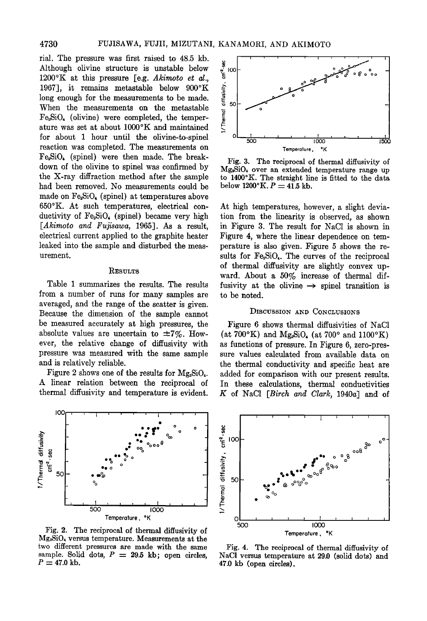**4730 FUJISAWA, FUJII, MIZUTANI, KANAMORI, AND AKIMOTO** 

rial. The pressure was first raised to 48.5 kb. **Although olivine structure is unstable below**  1200°K at this pressure [e.g. Akimoto et al., 1967], it remains metastable below 900°K **long enough for the measurements to be made. When the measurements on the metastable**  Fe<sub>2</sub>SiO<sub>4</sub> (olivine) were completed, the temperature was set at about 1000°K and maintained **for about 1 hour until the olivine-to-spinel reaction was completed. The measurements on**  Fe<sub>2</sub>SiO<sub>4</sub> (spinel) were then made. The breakdown of the olivine to spinel was confirmed by the X-ray diffraction method after the sample had been removed. No measurements could be **\_made on Fe•SiO• (spinel) at temperatures above 650øK. At such temperatures, electrical conductivity of Fe•SiO• (spinel) became very high**  [Akimoto and Fujisawa, 1965]. As a result, **electrical current applied to the graphite heater leaked into the sample and disturbed the measurement.** 

#### **RESULTS**

Table 1 summarizes the results. The results from a number of runs for many samples are **averaged, and the range of the scatter is given. Because the dimension of the sample cannot be measured accurately at high pressures, the**  absolute values are uncertain to  $\pm 7\%$ . How**ever, the relative change of diffusivity with pressure was measured with the same sample and is relatively reliable.** 

Figure 2 shows one of the results for  $Mg_2SiO_4$ . **A linear relation between the reciprocal of thermal diffusivity and temperature is evident.** 



**Fig. 2. The reciprocal of thermal diffusivity of Mg•SiO• versus temperature. Measurements at the two different pressures are made with the same**  sample. Solid dots,  $P = 29.5$  kb; open circles,  $P = 47.0$  kb.



**Fig. 3. The reciprocal of thermal diffusivity of Mg•SiO• over an extended temperature range up to 1400øK. The straight line is fitted to the data**   $below 1200 °K. P = 41.5 kb.$ 

At high temperatures, however, a slight devia**tion from the linearity is observed, as shown in Figure 3. The result for NaC1 is shown in Figure 4, where the linear dependence on temperature is also given. Figure 5 shows the re**sults for Fe<sub>2</sub>SiO<sub>4</sub>. The curves of the reciprocal **of thermal diffusivity are slightly convex upward. About a 50% increase of thermal dif**fusivity at the olivine  $\rightarrow$  spinel transition is **to be noted.** 

# **DISCUSSION AND CONCLUSIONS**

Figure 6 shows thermal diffusivities of NaCl  $(at 700° K)$  and  $Mg<sub>e</sub>SiO<sub>t</sub>$  (at 700° and 1100°K) **as functions of pressure. In Figure 6, zero-pressure values calculated from available data on the thermal conductivity and specific heat are added for comparison with our present results. In these calculations, thermal conductivities K of NaC1 [Birch and Clark, 1940a] and of** 



**Fig. 4. The reciprocal of thermal diffusivity of NaC1 versus temperature at 291) (solid dots) and 47.0 kb (open circles).**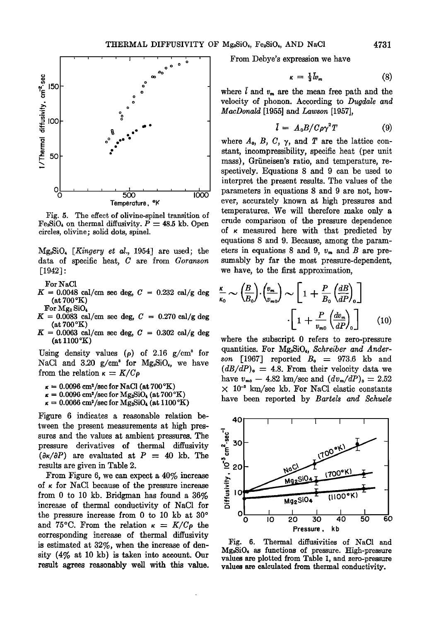

**Fig. 5. The effect of olivine-spinel transition of**   $Fe<sub>2</sub>SiO<sub>4</sub>$  on thermal diffusivity.  $P = 48.5$  kb. Open **circles, olivine; solid dots, spinel.** 

**Mg2SiO• [Kingcry et al., 1954] are used; the data of specific heat, C are from Goranson [1942]:** 

**For NaC1** 

- $K = 0.0048$  cal/cm sec deg,  $C = 0.232$  cal/g deg **(at 700øK)**
- **For Mg•. SiO•**   $K = 0.0083$  cal/cm sec deg,  $C = 0.270$  cal/g deg **(at 700øK)**
- $K = 0.0063$  cal/cm sec deg,  $C = 0.302$  cal/g deg **(at 1100øK)**

Using density values  $(\rho)$  of 2.16  $g/cm^3$  for NaCl and  $3.20 \text{ g/cm}^3$  for  $Mg_2SiO_4$ , we have from the relation  $\kappa = K/C\rho$ 

- $\kappa = 0.0096$  cm<sup>2</sup>/sec for NaCl (at 700 °K)
- $\kappa = 0.0096$  cm<sup>2</sup>/sec for Mg<sub>2</sub>SiO<sub>4</sub> (at 700 °K)
- $\kappa = 0.0066$  cm<sup>2</sup>/sec for Mg<sub>2</sub>SiO<sub>4</sub> (at 1100 °K)

**Figure 6 indicates a reasonable relation between the present measurements at high pressures and the values at ambient pressures. The pressure derivatives of thermal diffusivity**   $(\partial \kappa / \partial P)$  are evaluated at  $P = 40$  kb. The **results are given in Table 2.** 

**From Figure 6, we can expect a 40% increase of • for NaC1 because of the pressure increase from 0 to 10 kb. Bridgman has found a 36% increase of thermal conductivity of NaC1 for**  the pressure increase from 0 to 10 kb at 30<sup>o</sup> and 75°C. From the relation  $\kappa = K/C\rho$  the **corresponding increase of thermal diffusivity is estimated at 32%, when the increase of density (4% at 10 kb) is taken into account. Our result agrees reasonably well with this value.**  **From Debye's expression we have** 

$$
\kappa = \frac{1}{3}\bar{l}v_m \tag{8}
$$

where  $\overline{l}$  and  $v_m$  are the mean free path and the **velocity of phonon. According to Dugdale and MacDonald [1955] and Lawson [1957],** 

$$
\bar{l} = A_0 B / C \rho \gamma^2 T \tag{9}
$$

where  $A_0$ ,  $B$ ,  $C$ ,  $\gamma$ , and  $T$  are the lattice con**stant, incompressibility, specific heat (per unit**  mass), Grüneisen's ratio, and temperature, re**spectively. Equations 8 and 9 can be used to interpret the present results. The values of the parameters in equations 8 and 9 are not, however, accurately known at high pressures and temperatures. We will therefore make only a crude comparison of the pressure dependence of • measured here with that predicted by equations 8 and 9. Because, among the param**eters in equations 8 and 9,  $v_m$  and B are pre**sumably by far the most pressure-dependent, we have, to the first approximation,** 

$$
\frac{\kappa}{\kappa_0} \sim \left(\frac{B}{B_0}\right) \cdot \left(\frac{v_m}{v_{m0}}\right) \sim \left[1 + \frac{P}{B_0} \left(\frac{dB}{dP}\right)_0\right]
$$

$$
\cdot \left[1 + \frac{P}{v_{m0}} \left(\frac{dv_m}{dP}\right)_0\right] \tag{10}
$$

**where the subscript 0 refers to zero-pressure**  quantities. For Mg<sub>2</sub>SiO<sub>4</sub>, Schreiber and Ander**son [1967] reported B• • 973.6 kb and**   $(dB/dP)<sub>o</sub> = 4.8$ . From their velocity data we have  $v_{m0} - 4.82 \text{ km/sec}$  and  $(dv_m/dP)_0 = 2.52$  $\times$  10<sup>-2</sup> km/sec kb. For NaCl elastic constants have been reported by Bartels and Schuele



**Fig. 6. Thermal diffusivities of NaC1 and Mg2SiO, as functions of pressure. High-pressure values are plotted from Table 1, and zero-pressure values are calculated from thermal conductivity.**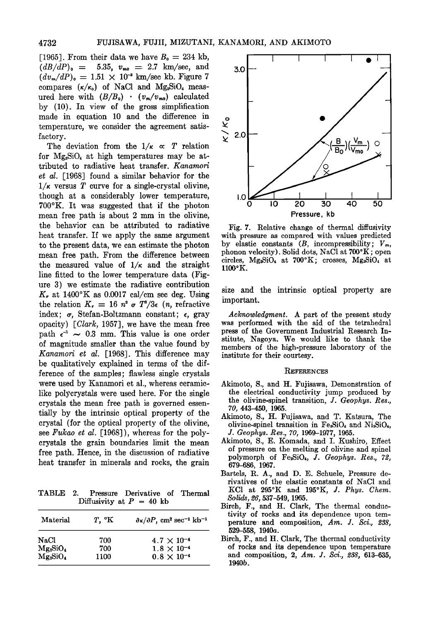[1965]. From their data we have  $B_0 = 234$  kb,  $(dB/dP)<sub>o</sub> = 5.35, v<sub>mo</sub> = 2.7 km/sec, and$  $(dv_m/dP)_0 = 1.51 \times 10^{-2}$  km/sec kb. Figure 7 compares  $(\kappa/\kappa_0)$  of NaCl and Mg<sub>2</sub>SiO<sub>4</sub> measured here with  $(B/B_0) \cdot (v_m/v_{m0})$  calculated **by (10). In view of the gross simplification made in equation 10 and the difference in temperature, we consider the agreement satisfactory.** 

The deviation from the  $1/\kappa \propto T$  relation for  $Mg_sSiO_4$  at high temperatures may be at**tributed to radiative heat transfer. Kanamori ei al. [1968] found a similar behavior for the 1/g versus T curve for a single-crystal olivine, though at a considerably lower temperature, 700øK. It was suggested that if the photon mean free path is about 2 mm in the olivine, the behavior can be attributed to radiative heat transfer. If we apply the same argument to the present data, we can estimate the photon mean free path. From the difference between**  the measured value of  $1/\kappa$  and the straight **line fitted to the lower temperature data (Figure 3) we estimate the radiative contribution**   $K_r$  at 1400°K as 0.0017 cal/cm sec deg. Using the relation  $K_r = 16 n^2 \sigma T^3/3\epsilon$  (*n*, refractive **index; a, Stefan-Boltzmann constant; e, gray opacity) [Clark, 1957], we have the mean free**  path  $\epsilon^{-1}$  ~ 0.3 mm. This value is one order **of magnitude smaller than the value found by Kanamori ei al. [1968]. This difference may be qualitatively explained in terms of the difference of the samples; flawless single crystals were used by Kanamori et al., whereas ceramiclike polycrystals were used here. For the single crystals the mean free path is governed essentially by the intrinsic optical property of the crystal (for the optical property of the olivine,**  see Fukao et al. [1968]), whereas for the poly**crystals the grain boundaries limit the mean free path. Hence, in the discussion of radiative heat transfer in minerals and rocks, the grain** 

**TABLE 2. Pressure Derivative of Thermal**  Diffusivity at  $P = 40$  kb

| Material    | $T$ , $\mathcal{C}$ K | $\partial \kappa / \partial P$ , cm <sup>2</sup> sec <sup>-1</sup> kb <sup>-1</sup> |
|-------------|-----------------------|-------------------------------------------------------------------------------------|
| NaCl        | 700                   | $4.7 \times 10^{-4}$                                                                |
| $Mg_2SiO_4$ | 700                   | $1.8 \times 10^{-4}$                                                                |
| $Mg_2SiO_4$ | 1100                  | $0.8 \times 10^{-4}$                                                                |



**Fig. 7. Relative change of thermal diffusivity with pressure as compared with values predicted**  by elastic constants  $(B, \text{incompressibility}; V_m,$ phonon velocity). Solid dots, NaCl at 700°K; open circles, Mg<sub>2</sub>SiO<sub>4</sub> at 700°K; crosses, Mg<sub>2</sub>SiO<sub>4</sub> at **1100øK.** 

**size and the intrinsic optical property are important.** 

**Acknowledgment. A part of the present study was performed with the aid of the tetrahedral press of the Government Industrial Research Institute, Nagoya. We would like to thank the members of the high-pressure laboratory of the institute for their courtesy.** 

### **REFERENCES**

- Akimoto, S., and H. Fujisawa, Demonstration of **the electrical conductivity jump produced by the olivine-spinel transition, J. Geophys. Res., 70, 443-450, 1965.**
- Akimoto, S., H. Fujisawa, and T. Katsura, The **olivine-spinel transition in Fe2SiO• and Ni2SiO•, J. Geophys. Res., 70, 1969-1977, 1965.**
- Akimoto, S., E. Komada, and I. Kushiro, Effect **of pressure on the melting of olivine and spinel polymorph of Fe•SiO•, J. Geophys. Res., 72, 679-686, 1967.**
- **Barrels, R. A., and D. E. Schuele, Pressure derivatives of the elastic constants of NaC1 and**  KCl at  $295^{\circ}K$  and  $195^{\circ}K$ , J. Phys. Chem. **Solids, 26, 537-549, 1965.**
- Birch, F., and H. Clark, The thermal conduc**tivity of rocks and its dependence upon temperature and composition, Am. J. \$ci., 238, 529-558, 1940a.**
- Birch, F., and H. Clark, The thermal conductivity **of rocks and its dependence upon temperature and composition, 2, Am. J. \$ci., 238, 613-635, 1940b.**